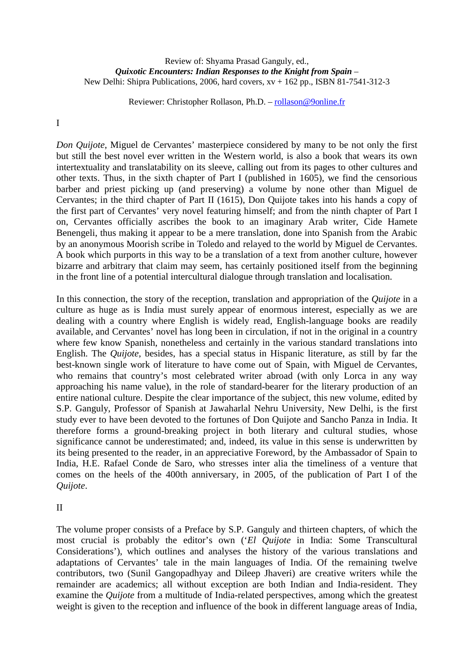## Review of: Shyama Prasad Ganguly, ed., *Quixotic Encounters: Indian Responses to the Knight from Spain* – New Delhi: Shipra Publications, 2006, hard covers, xv + 162 pp., ISBN 81-7541-312-3

Reviewer: Christopher Rollason, Ph.D. – rollason@9online.fr

## I

*Don Quijote*, Miguel de Cervantes' masterpiece considered by many to be not only the first but still the best novel ever written in the Western world, is also a book that wears its own intertextuality and translatability on its sleeve, calling out from its pages to other cultures and other texts. Thus, in the sixth chapter of Part I (published in 1605), we find the censorious barber and priest picking up (and preserving) a volume by none other than Miguel de Cervantes; in the third chapter of Part II (1615), Don Quijote takes into his hands a copy of the first part of Cervantes' very novel featuring himself; and from the ninth chapter of Part I on, Cervantes officially ascribes the book to an imaginary Arab writer, Cide Hamete Benengeli, thus making it appear to be a mere translation, done into Spanish from the Arabic by an anonymous Moorish scribe in Toledo and relayed to the world by Miguel de Cervantes. A book which purports in this way to be a translation of a text from another culture, however bizarre and arbitrary that claim may seem, has certainly positioned itself from the beginning in the front line of a potential intercultural dialogue through translation and localisation.

In this connection, the story of the reception, translation and appropriation of the *Quijote* in a culture as huge as is India must surely appear of enormous interest, especially as we are dealing with a country where English is widely read, English-language books are readily available, and Cervantes' novel has long been in circulation, if not in the original in a country where few know Spanish, nonetheless and certainly in the various standard translations into English. The *Quijote*, besides, has a special status in Hispanic literature, as still by far the best-known single work of literature to have come out of Spain, with Miguel de Cervantes, who remains that country's most celebrated writer abroad (with only Lorca in any way approaching his name value), in the role of standard-bearer for the literary production of an entire national culture. Despite the clear importance of the subject, this new volume, edited by S.P. Ganguly, Professor of Spanish at Jawaharlal Nehru University, New Delhi, is the first study ever to have been devoted to the fortunes of Don Quijote and Sancho Panza in India. It therefore forms a ground-breaking project in both literary and cultural studies, whose significance cannot be underestimated; and, indeed, its value in this sense is underwritten by its being presented to the reader, in an appreciative Foreword, by the Ambassador of Spain to India, H.E. Rafael Conde de Saro, who stresses inter alia the timeliness of a venture that comes on the heels of the 400th anniversary, in 2005, of the publication of Part I of the *Quijote*.

## II

The volume proper consists of a Preface by S.P. Ganguly and thirteen chapters, of which the most crucial is probably the editor's own ('*El Quijote* in India: Some Transcultural Considerations'), which outlines and analyses the history of the various translations and adaptations of Cervantes' tale in the main languages of India. Of the remaining twelve contributors, two (Sunil Gangopadhyay and Dileep Jhaveri) are creative writers while the remainder are academics; all without exception are both Indian and India-resident. They examine the *Quijote* from a multitude of India-related perspectives, among which the greatest weight is given to the reception and influence of the book in different language areas of India,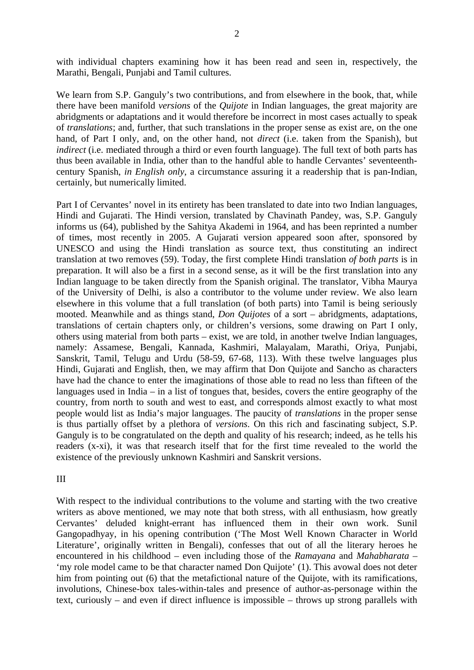with individual chapters examining how it has been read and seen in, respectively, the Marathi, Bengali, Punjabi and Tamil cultures.

We learn from S.P. Ganguly's two contributions, and from elsewhere in the book, that, while there have been manifold *versions* of the *Quijote* in Indian languages, the great majority are abridgments or adaptations and it would therefore be incorrect in most cases actually to speak of *translations*; and, further, that such translations in the proper sense as exist are, on the one hand, of Part I only, and, on the other hand, not *direct* (i.e. taken from the Spanish), but *indirect* (i.e. mediated through a third or even fourth language). The full text of both parts has thus been available in India, other than to the handful able to handle Cervantes' seventeenthcentury Spanish, *in English only*, a circumstance assuring it a readership that is pan-Indian, certainly, but numerically limited.

Part I of Cervantes' novel in its entirety has been translated to date into two Indian languages, Hindi and Gujarati. The Hindi version, translated by Chavinath Pandey, was, S.P. Ganguly informs us (64), published by the Sahitya Akademi in 1964, and has been reprinted a number of times, most recently in 2005. A Gujarati version appeared soon after, sponsored by UNESCO and using the Hindi translation as source text, thus constituting an indirect translation at two removes (59). Today, the first complete Hindi translation *of both parts* is in preparation. It will also be a first in a second sense, as it will be the first translation into any Indian language to be taken directly from the Spanish original. The translator, Vibha Maurya of the University of Delhi, is also a contributor to the volume under review. We also learn elsewhere in this volume that a full translation (of both parts) into Tamil is being seriously mooted. Meanwhile and as things stand, *Don Quijotes* of a sort – abridgments, adaptations, translations of certain chapters only, or children's versions, some drawing on Part I only, others using material from both parts – exist, we are told, in another twelve Indian languages, namely: Assamese, Bengali, Kannada, Kashmiri, Malayalam, Marathi, Oriya, Punjabi, Sanskrit, Tamil, Telugu and Urdu (58-59, 67-68, 113). With these twelve languages plus Hindi, Gujarati and English, then, we may affirm that Don Quijote and Sancho as characters have had the chance to enter the imaginations of those able to read no less than fifteen of the languages used in India – in a list of tongues that, besides, covers the entire geography of the country, from north to south and west to east, and corresponds almost exactly to what most people would list as India's major languages. The paucity of *translations* in the proper sense is thus partially offset by a plethora of *versions*. On this rich and fascinating subject, S.P. Ganguly is to be congratulated on the depth and quality of his research; indeed, as he tells his readers (x-xi), it was that research itself that for the first time revealed to the world the existence of the previously unknown Kashmiri and Sanskrit versions.

III

With respect to the individual contributions to the volume and starting with the two creative writers as above mentioned, we may note that both stress, with all enthusiasm, how greatly Cervantes' deluded knight-errant has influenced them in their own work. Sunil Gangopadhyay, in his opening contribution ('The Most Well Known Character in World Literature', originally written in Bengali), confesses that out of all the literary heroes he encountered in his childhood – even including those of the *Ramayana* and *Mahabharata* – 'my role model came to be that character named Don Quijote' (1). This avowal does not deter him from pointing out (6) that the metafictional nature of the Quijote, with its ramifications, involutions, Chinese-box tales-within-tales and presence of author-as-personage within the text, curiously – and even if direct influence is impossible – throws up strong parallels with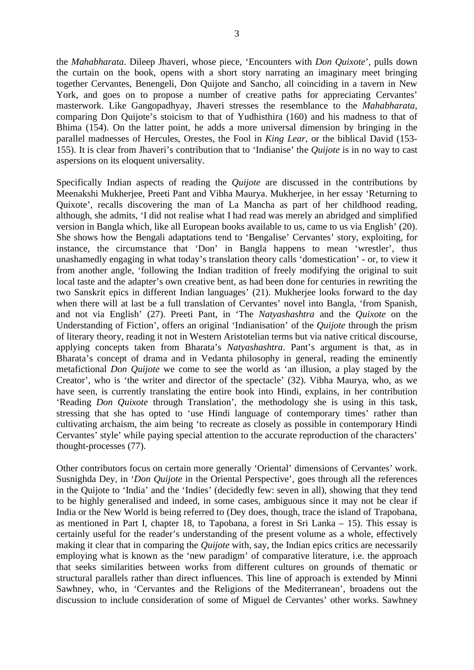the *Mahabharata*. Dileep Jhaveri, whose piece, 'Encounters with *Don Quixote*', pulls down the curtain on the book, opens with a short story narrating an imaginary meet bringing together Cervantes, Benengeli, Don Quijote and Sancho, all coinciding in a tavern in New York, and goes on to propose a number of creative paths for appreciating Cervantes' masterwork. Like Gangopadhyay, Jhaveri stresses the resemblance to the *Mahabharata*, comparing Don Quijote's stoicism to that of Yudhisthira (160) and his madness to that of Bhima (154). On the latter point, he adds a more universal dimension by bringing in the parallel madnesses of Hercules, Orestes, the Fool in *King Lear*, or the biblical David (153- 155). It is clear from Jhaveri's contribution that to 'Indianise' the *Quijote* is in no way to cast aspersions on its eloquent universality.

Specifically Indian aspects of reading the *Quijote* are discussed in the contributions by Meenakshi Mukherjee, Preeti Pant and Vibha Maurya. Mukherjee, in her essay 'Returning to Quixote', recalls discovering the man of La Mancha as part of her childhood reading, although, she admits, 'I did not realise what I had read was merely an abridged and simplified version in Bangla which, like all European books available to us, came to us via English' (20). She shows how the Bengali adaptations tend to 'Bengalise' Cervantes' story, exploiting, for instance, the circumstance that 'Don' in Bangla happens to mean 'wrestler', thus unashamedly engaging in what today's translation theory calls 'domestication' - or, to view it from another angle, 'following the Indian tradition of freely modifying the original to suit local taste and the adapter's own creative bent, as had been done for centuries in rewriting the two Sanskrit epics in different Indian languages' (21). Mukherjee looks forward to the day when there will at last be a full translation of Cervantes' novel into Bangla, 'from Spanish, and not via English' (27). Preeti Pant, in 'The *Natyashashtra* and the *Quixote* on the Understanding of Fiction', offers an original 'Indianisation' of the *Quijote* through the prism of literary theory, reading it not in Western Aristotelian terms but via native critical discourse, applying concepts taken from Bharata's *Natyashashtra*. Pant's argument is that, as in Bharata's concept of drama and in Vedanta philosophy in general, reading the eminently metafictional *Don Quijote* we come to see the world as 'an illusion, a play staged by the Creator', who is 'the writer and director of the spectacle' (32). Vibha Maurya, who, as we have seen, is currently translating the entire book into Hindi, explains, in her contribution 'Reading *Don Quixote* through Translation', the methodology she is using in this task, stressing that she has opted to 'use Hindi language of contemporary times' rather than cultivating archaism, the aim being 'to recreate as closely as possible in contemporary Hindi Cervantes' style' while paying special attention to the accurate reproduction of the characters' thought-processes (77).

Other contributors focus on certain more generally 'Oriental' dimensions of Cervantes' work. Susnighda Dey, in '*Don Quijote* in the Oriental Perspective', goes through all the references in the Quijote to 'India' and the 'Indies' (decidedly few: seven in all), showing that they tend to be highly generalised and indeed, in some cases, ambiguous since it may not be clear if India or the New World is being referred to (Dey does, though, trace the island of Trapobana, as mentioned in Part I, chapter 18, to Tapobana, a forest in Sri Lanka – 15). This essay is certainly useful for the reader's understanding of the present volume as a whole, effectively making it clear that in comparing the *Quijote* with, say, the Indian epics critics are necessarily employing what is known as the 'new paradigm' of comparative literature, i.e. the approach that seeks similarities between works from different cultures on grounds of thematic or structural parallels rather than direct influences. This line of approach is extended by Minni Sawhney, who, in 'Cervantes and the Religions of the Mediterranean', broadens out the discussion to include consideration of some of Miguel de Cervantes' other works. Sawhney